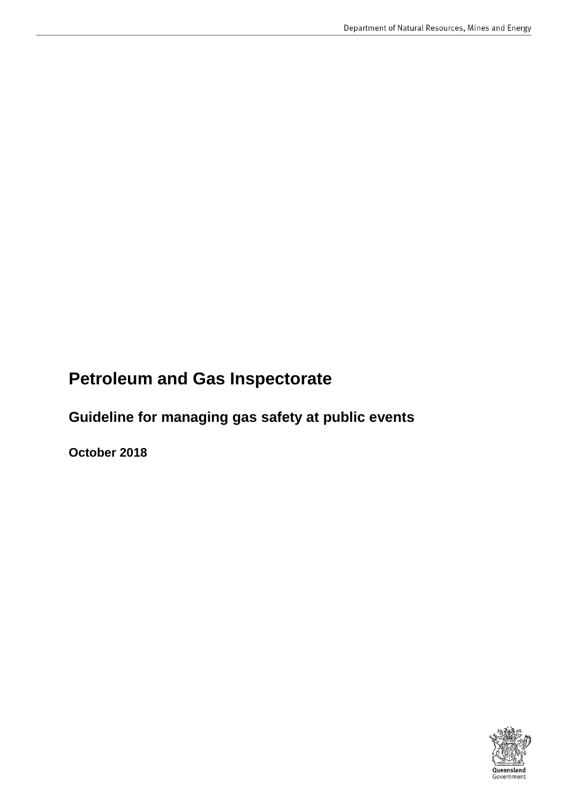# **Petroleum and Gas Inspectorate**

 **Guideline for managing gas safety at public events** 

**October 2018** 

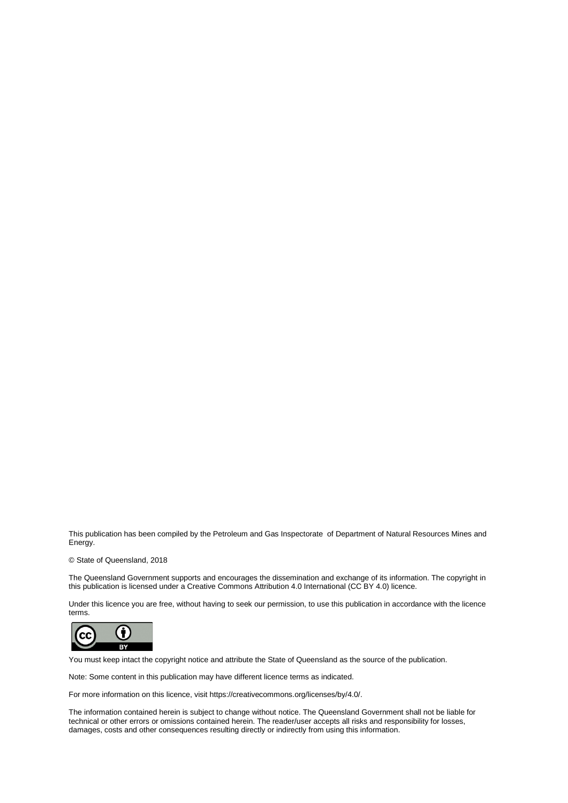This publication has been compiled by the Petroleum and Gas Inspectorate of Department of Natural Resources Mines and Energy.

#### © State of Queensland, 2018

 this publication is licensed under a Creative Commons Attribution 4.0 International (CC BY 4.0) licence. The Queensland Government supports and encourages the dissemination and exchange of its information. The copyright in

Under this licence you are free, without having to seek our permission, to use this publication in accordance with the licence terms.



You must keep intact the copyright notice and attribute the State of Queensland as the source of the publication.

Note: Some content in this publication may have different licence terms as indicated.

For more information on this licence, visit https://creativecommons.org/licenses/by/4.0/.

 The information contained herein is subject to change without notice. The Queensland Government shall not be liable for technical or other errors or omissions contained herein. The reader/user accepts all risks and responsibility for losses, damages, costs and other consequences resulting directly or indirectly from using this information.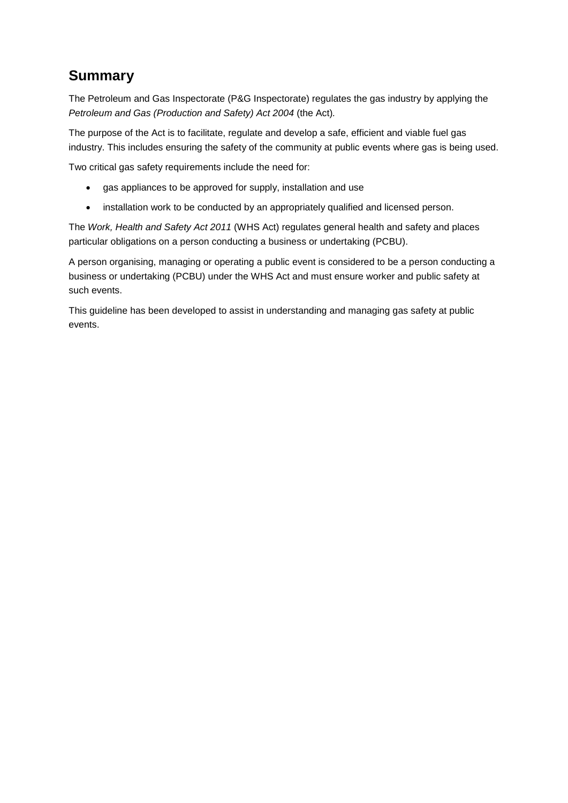### **Summary**

 The Petroleum and Gas Inspectorate (P&G Inspectorate) regulates the gas industry by applying the  *Petroleum and Gas (Production and Safety) Act 2004* (the Act)*.* 

 The purpose of the Act is to facilitate, regulate and develop a safe, efficient and viable fuel gas industry. This includes ensuring the safety of the community at public events where gas is being used.

Two critical gas safety requirements include the need for:

- gas appliances to be approved for supply, installation and use
- installation work to be conducted by an appropriately qualified and licensed person.

The *Work, Health and Safety Act 2011* (WHS Act) regulates general health and safety and places particular obligations on a person conducting a business or undertaking (PCBU).

 business or undertaking (PCBU) under the WHS Act and must ensure worker and public safety at A person organising, managing or operating a public event is considered to be a person conducting a such events.

 This guideline has been developed to assist in understanding and managing gas safety at public events.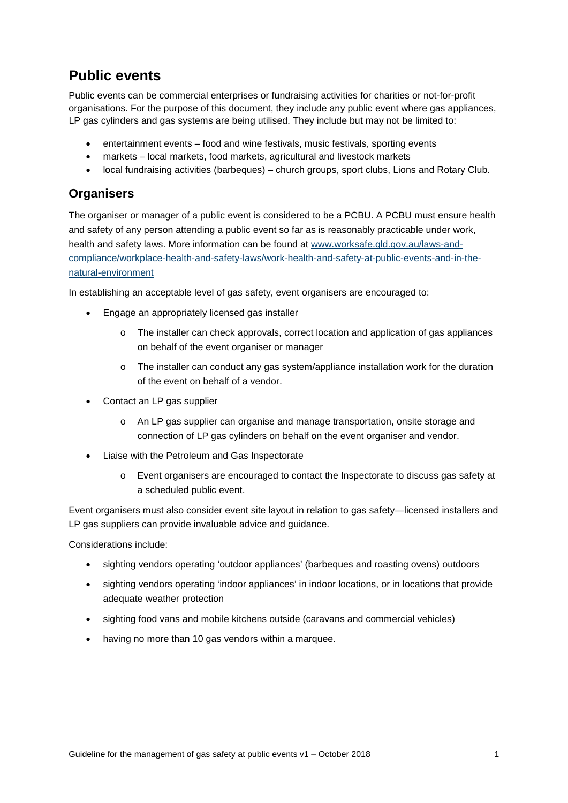### **Public events**

 LP gas cylinders and gas systems are being utilised. They include but may not be limited to: Public events can be commercial enterprises or fundraising activities for charities or not-for-profit organisations. For the purpose of this document, they include any public event where gas appliances,

- $e$ ntertainment events food and wine festivals, music festivals, sporting events
- markets local markets, food markets, agricultural and livestock markets
- local fundraising activities (barbeques) church groups, sport clubs, Lions and Rotary Club.

#### **Organisers**

 The organiser or manager of a public event is considered to be a PCBU. A PCBU must ensure health and safety of any person attending a public event so far as is reasonably practicable under work, health and safety laws. More information can be found at [www.worksafe.qld.gov.au/laws-and](http://www.worksafe.qld.gov.au/laws-and-compliance/workplace-health-and-safety-laws/work-health-and-safety-at-public-events-and-in-the-natural-environment)[compliance/workplace-health-and-safety-laws/work-health-and-safety-at-public-events-and-in-the](http://www.worksafe.qld.gov.au/laws-and-compliance/workplace-health-and-safety-laws/work-health-and-safety-at-public-events-and-in-the-natural-environment)[natural-environment](http://www.worksafe.qld.gov.au/laws-and-compliance/workplace-health-and-safety-laws/work-health-and-safety-at-public-events-and-in-the-natural-environment) 

In establishing an acceptable level of gas safety, event organisers are encouraged to:

- Engage an appropriately licensed gas installer
	- $\circ$  The installer can check approvals, correct location and application of gas appliances on behalf of the event organiser or manager
	- o The installer can conduct any gas system/appliance installation work for the duration of the event on behalf of a vendor.
- Contact an LP gas supplier
	- o An LP gas supplier can organise and manage transportation, onsite storage and connection of LP gas cylinders on behalf on the event organiser and vendor.
- Liaise with the Petroleum and Gas Inspectorate
	- a scheduled public event.  $\circ$  Event organisers are encouraged to contact the Inspectorate to discuss gas safety at

Event organisers must also consider event site layout in relation to gas safety—licensed installers and LP gas suppliers can provide invaluable advice and guidance.

Considerations include:

- sighting vendors operating 'outdoor appliances' (barbeques and roasting ovens) outdoors
- sighting vendors operating 'indoor appliances' in indoor locations, or in locations that provide adequate weather protection
- sighting food vans and mobile kitchens outside (caravans and commercial vehicles)
- having no more than 10 gas vendors within a marquee.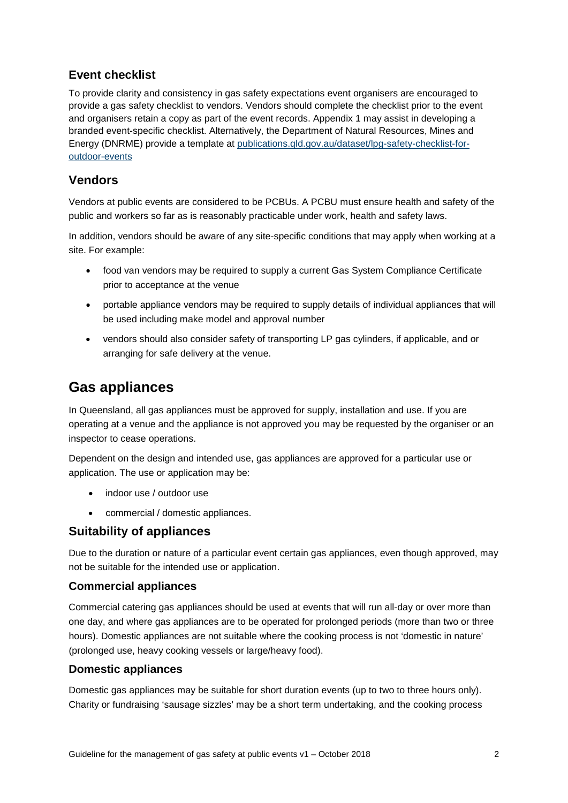#### **Event checklist**

To provide clarity and consistency in gas safety expectations event organisers are encouraged to provide a gas safety checklist to vendors. Vendors should complete the checklist prior to the event and organisers retain a copy as part of the event records. Appendix 1 may assist in developing a branded event-specific checklist. Alternatively, the Department of Natural Resources, Mines and Energy (DNRME) provide a template at [publications.qld.gov.au/dataset/lpg-safety-checklist-for](https://publications.qld.gov.au/dataset/lpg-safety-checklist-for-outdoor-events)[outdoor-events](https://publications.qld.gov.au/dataset/lpg-safety-checklist-for-outdoor-events) 

#### **Vendors**

 Vendors at public events are considered to be PCBUs. A PCBU must ensure health and safety of the public and workers so far as is reasonably practicable under work, health and safety laws.

In addition, vendors should be aware of any site-specific conditions that may apply when working at a site. For example:

- food van vendors may be required to supply a current Gas System Compliance Certificate prior to acceptance at the venue
- • portable appliance vendors may be required to supply details of individual appliances that will be used including make model and approval number
- vendors should also consider safety of transporting LP gas cylinders, if applicable, and or arranging for safe delivery at the venue.

### **Gas appliances**

In Queensland, all gas appliances must be approved for supply, installation and use. If you are operating at a venue and the appliance is not approved you may be requested by the organiser or an inspector to cease operations.

 Dependent on the design and intended use, gas appliances are approved for a particular use or application. The use or application may be:

- indoor use / outdoor use
- • commercial / domestic appliances.

#### **Suitability of appliances**

Due to the duration or nature of a particular event certain gas appliances, even though approved, may not be suitable for the intended use or application.

#### **Commercial appliances**

 hours). Domestic appliances are not suitable where the cooking process is not 'domestic in nature' Commercial catering gas appliances should be used at events that will run all-day or over more than one day, and where gas appliances are to be operated for prolonged periods (more than two or three (prolonged use, heavy cooking vessels or large/heavy food).

#### **Domestic appliances**

Domestic gas appliances may be suitable for short duration events (up to two to three hours only). Charity or fundraising 'sausage sizzles' may be a short term undertaking, and the cooking process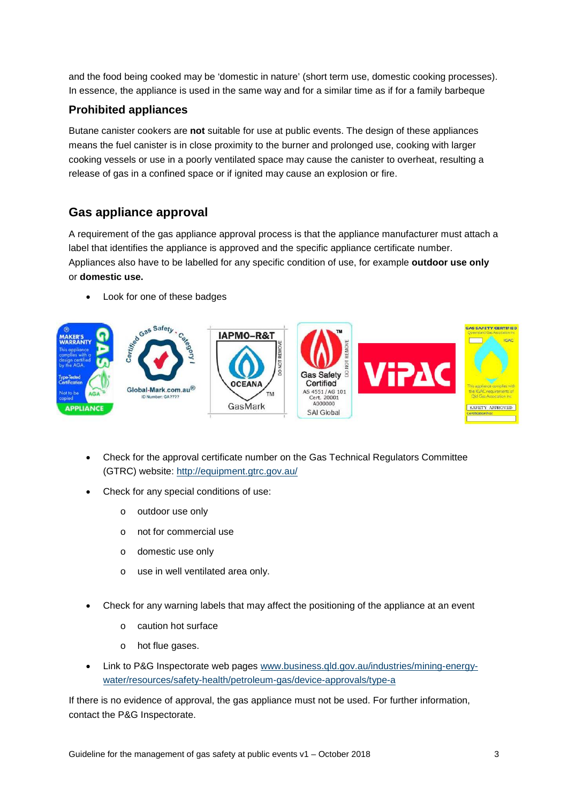In essence, the appliance is used in the same way and for a similar time as if for a family barbeque and the food being cooked may be 'domestic in nature' (short term use, domestic cooking processes).

#### **Prohibited appliances**

Butane canister cookers are **not** suitable for use at public events. The design of these appliances means the fuel canister is in close proximity to the burner and prolonged use, cooking with larger cooking vessels or use in a poorly ventilated space may cause the canister to overheat, resulting a release of gas in a confined space or if ignited may cause an explosion or fire.

#### **Gas appliance approval**

 or **domestic use.** A requirement of the gas appliance approval process is that the appliance manufacturer must attach a label that identifies the appliance is approved and the specific appliance certificate number. Appliances also have to be labelled for any specific condition of use, for example **outdoor use only** 

Look for one of these badges



- (GTRC) website: http://equipment.gtrc.gov.au/ Check for the approval certificate number on the Gas Technical Regulators Committee
- Check for any special conditions of use:
	- o outdoor use only
	- o not for commercial use
	- o domestic use only
	- o use in well ventilated area only.
- Check for any warning labels that may affect the positioning of the appliance at an event
	- o caution hot surface
	- o hot flue gases.
- Link to P&G Inspectorate web pages www.business.gld.gov.au/industries/mining-energy[water/resources/safety-health/petroleum-gas/device-approvals/type-a](http://www.business.qld.gov.au/industries/mining-energy-water/resources/safety-health/petroleum-gas/device-approvals/type-a)

If there is no evidence of approval, the gas appliance must not be used. For further information, contact the P&G Inspectorate.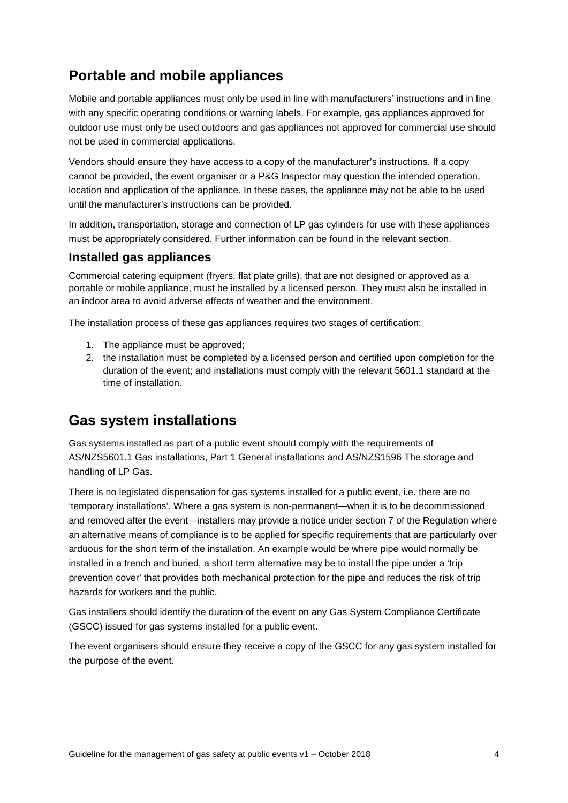### **Portable and mobile appliances**

Mobile and portable appliances must only be used in line with manufacturers' instructions and in line with any specific operating conditions or warning labels. For example, gas appliances approved for outdoor use must only be used outdoors and gas appliances not approved for commercial use should not be used in commercial applications.

Vendors should ensure they have access to a copy of the manufacturer's instructions. If a copy cannot be provided, the event organiser or a P&G Inspector may question the intended operation, location and application of the appliance. In these cases, the appliance may not be able to be used until the manufacturer's instructions can be provided.

 In addition, transportation, storage and connection of LP gas cylinders for use with these appliances must be appropriately considered. Further information can be found in the relevant section.

#### **Installed gas appliances**

Commercial catering equipment (fryers, flat plate grills), that are not designed or approved as a portable or mobile appliance, must be installed by a licensed person. They must also be installed in an indoor area to avoid adverse effects of weather and the environment.

The installation process of these gas appliances requires two stages of certification:

- 1. The appliance must be approved;
- 2. the installation must be completed by a licensed person and certified upon completion for the duration of the event; and installations must comply with the relevant 5601.1 standard at the time of installation.

### **Gas system installations**

Gas systems installed as part of a public event should comply with the requirements of AS/NZS5601.1 Gas installations, Part 1 General installations and AS/NZS1596 The storage and handling of LP Gas.

 arduous for the short term of the installation. An example would be where pipe would normally be installed in a trench and buried, a short term alternative may be to install the pipe under a 'trip There is no legislated dispensation for gas systems installed for a public event, i.e. there are no 'temporary installations'. Where a gas system is non-permanent—when it is to be decommissioned and removed after the event—installers may provide a notice under section 7 of the Regulation where an alternative means of compliance is to be applied for specific requirements that are particularly over prevention cover' that provides both mechanical protection for the pipe and reduces the risk of trip hazards for workers and the public.

Gas installers should identify the duration of the event on any Gas System Compliance Certificate (GSCC) issued for gas systems installed for a public event.

The event organisers should ensure they receive a copy of the GSCC for any gas system installed for the purpose of the event.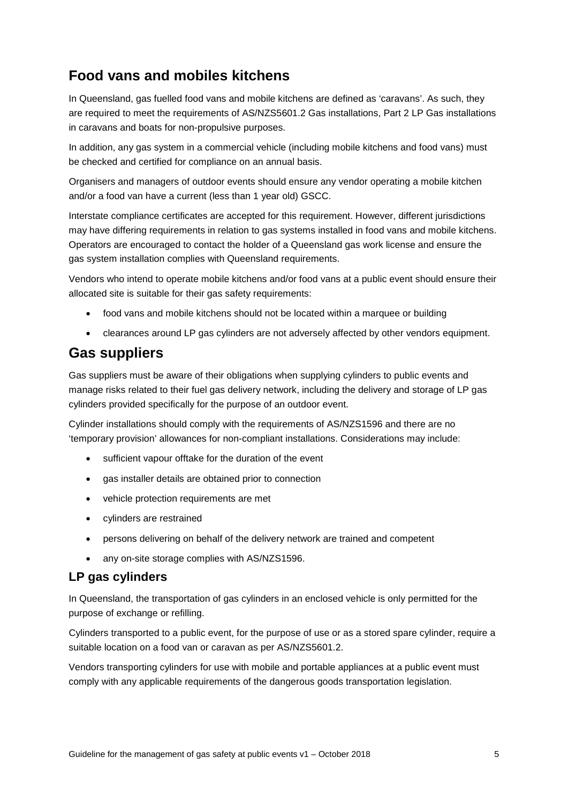### **Food vans and mobiles kitchens**

 are required to meet the requirements of AS/NZS5601.2 Gas installations, Part 2 LP Gas installations In Queensland, gas fuelled food vans and mobile kitchens are defined as 'caravans'. As such, they in caravans and boats for non-propulsive purposes.

 In addition, any gas system in a commercial vehicle (including mobile kitchens and food vans) must be checked and certified for compliance on an annual basis.

Organisers and managers of outdoor events should ensure any vendor operating a mobile kitchen and/or a food van have a current (less than 1 year old) GSCC.

Interstate compliance certificates are accepted for this requirement. However, different jurisdictions may have differing requirements in relation to gas systems installed in food vans and mobile kitchens. Operators are encouraged to contact the holder of a Queensland gas work license and ensure the gas system installation complies with Queensland requirements.

Vendors who intend to operate mobile kitchens and/or food vans at a public event should ensure their allocated site is suitable for their gas safety requirements:

- food vans and mobile kitchens should not be located within a marquee or building
- clearances around LP gas cylinders are not adversely affected by other vendors equipment.

### **Gas suppliers**

 Gas suppliers must be aware of their obligations when supplying cylinders to public events and manage risks related to their fuel gas delivery network, including the delivery and storage of LP gas cylinders provided specifically for the purpose of an outdoor event.

Cylinder installations should comply with the requirements of AS/NZS1596 and there are no 'temporary provision' allowances for non-compliant installations. Considerations may include:

- sufficient vapour offtake for the duration of the event
- gas installer details are obtained prior to connection
- vehicle protection requirements are met
- cylinders are restrained
- persons delivering on behalf of the delivery network are trained and competent
- any on-site storage complies with AS/NZS1596.

#### **LP gas cylinders**

 In Queensland, the transportation of gas cylinders in an enclosed vehicle is only permitted for the purpose of exchange or refilling.

Cylinders transported to a public event, for the purpose of use or as a stored spare cylinder, require a suitable location on a food van or caravan as per AS/NZS5601.2.

 Vendors transporting cylinders for use with mobile and portable appliances at a public event must comply with any applicable requirements of the dangerous goods transportation legislation.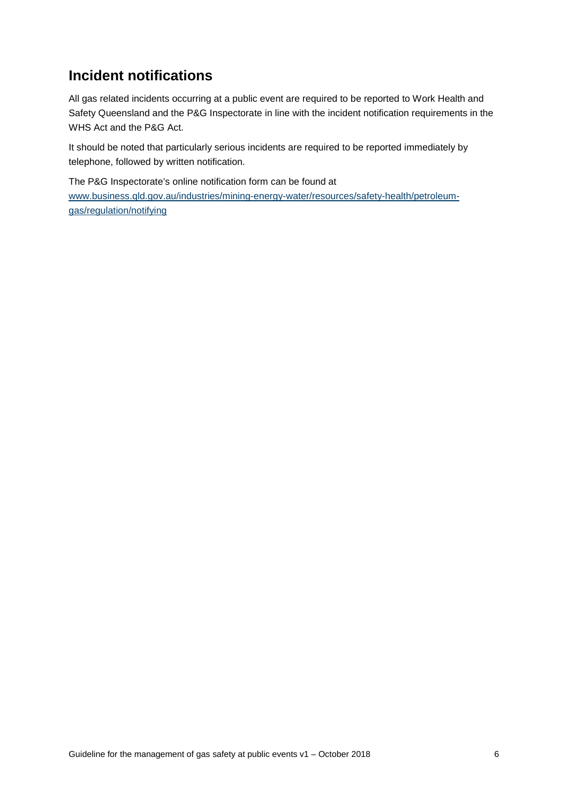### **Incident notifications**

All gas related incidents occurring at a public event are required to be reported to Work Health and Safety Queensland and the P&G Inspectorate in line with the incident notification requirements in the WHS Act and the P&G Act.

 It should be noted that particularly serious incidents are required to be reported immediately by telephone, followed by written notification.

The P&G Inspectorate's online notification form can be found at

[www.business.qld.gov.au/industries/mining-energy-water/resources/safety-health/petroleum](http://www.business.qld.gov.au/industries/mining-energy-water/resources/safety-health/petroleum-gas/regulation/notifying)[gas/regulation/notifying](http://www.business.qld.gov.au/industries/mining-energy-water/resources/safety-health/petroleum-gas/regulation/notifying)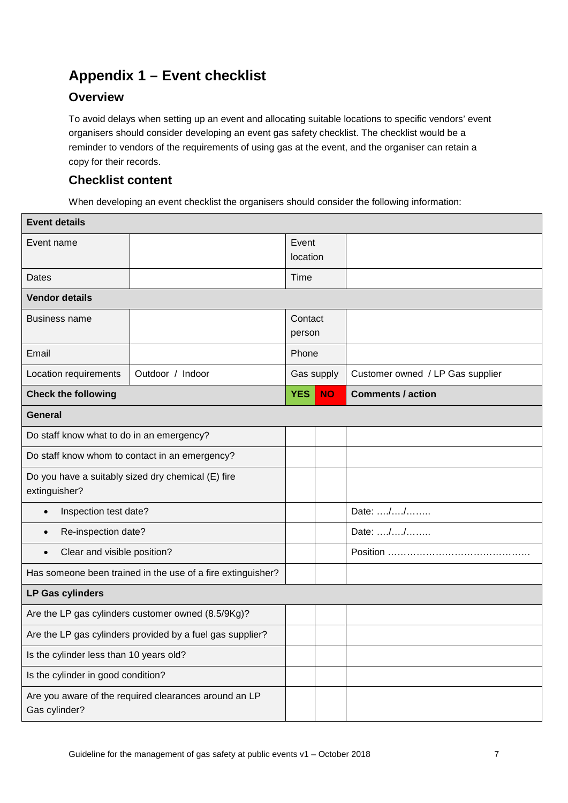## **Appendix 1 – Event checklist**

#### **Overview**

To avoid delays when setting up an event and allocating suitable locations to specific vendors' event organisers should consider developing an event gas safety checklist. The checklist would be a reminder to vendors of the requirements of using gas at the event, and the organiser can retain a copy for their records.

#### **Checklist content**

When developing an event checklist the organisers should consider the following information:

| <b>Event details</b>                                                   |                  |                   |           |                                  |  |  |  |  |
|------------------------------------------------------------------------|------------------|-------------------|-----------|----------------------------------|--|--|--|--|
| Event name                                                             |                  | Event             |           |                                  |  |  |  |  |
|                                                                        | location         |                   |           |                                  |  |  |  |  |
| Dates                                                                  |                  |                   |           |                                  |  |  |  |  |
| <b>Vendor details</b>                                                  |                  |                   |           |                                  |  |  |  |  |
| <b>Business name</b>                                                   |                  | Contact<br>person |           |                                  |  |  |  |  |
|                                                                        |                  |                   |           |                                  |  |  |  |  |
| Email                                                                  |                  | Phone             |           |                                  |  |  |  |  |
| Location requirements                                                  | Outdoor / Indoor | Gas supply        |           | Customer owned / LP Gas supplier |  |  |  |  |
| <b>Check the following</b>                                             |                  | <b>YES</b>        | <b>NO</b> | <b>Comments / action</b>         |  |  |  |  |
| <b>General</b>                                                         |                  |                   |           |                                  |  |  |  |  |
| Do staff know what to do in an emergency?                              |                  |                   |           |                                  |  |  |  |  |
| Do staff know whom to contact in an emergency?                         |                  |                   |           |                                  |  |  |  |  |
| Do you have a suitably sized dry chemical (E) fire<br>extinguisher?    |                  |                   |           |                                  |  |  |  |  |
| Inspection test date?<br>$\bullet$                                     |                  |                   |           | Date: //                         |  |  |  |  |
| Re-inspection date?<br>$\bullet$                                       |                  |                   |           | Date: //                         |  |  |  |  |
| Clear and visible position?<br>$\bullet$                               |                  |                   |           |                                  |  |  |  |  |
| Has someone been trained in the use of a fire extinguisher?            |                  |                   |           |                                  |  |  |  |  |
| <b>LP Gas cylinders</b>                                                |                  |                   |           |                                  |  |  |  |  |
| Are the LP gas cylinders customer owned (8.5/9Kg)?                     |                  |                   |           |                                  |  |  |  |  |
| Are the LP gas cylinders provided by a fuel gas supplier?              |                  |                   |           |                                  |  |  |  |  |
| Is the cylinder less than 10 years old?                                |                  |                   |           |                                  |  |  |  |  |
| Is the cylinder in good condition?                                     |                  |                   |           |                                  |  |  |  |  |
| Are you aware of the required clearances around an LP<br>Gas cylinder? |                  |                   |           |                                  |  |  |  |  |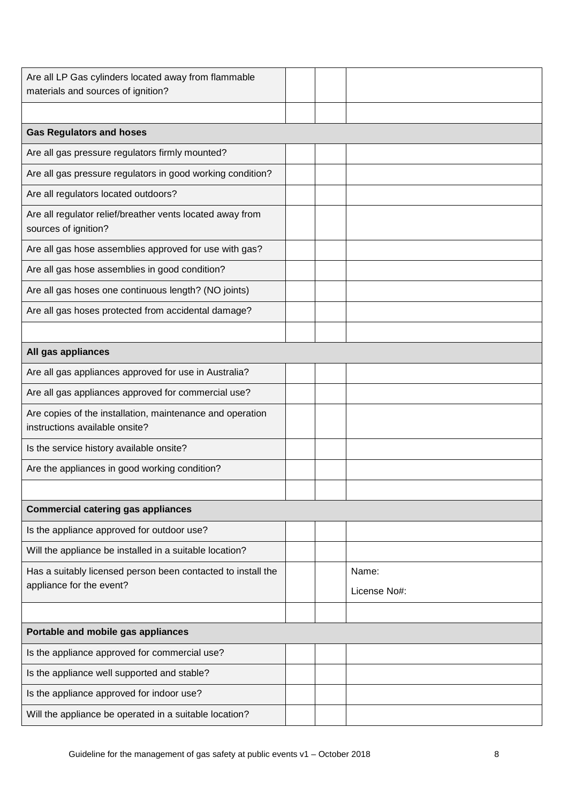| Are all LP Gas cylinders located away from flammable<br>materials and sources of ignition?  |  |  |              |  |  |  |  |  |
|---------------------------------------------------------------------------------------------|--|--|--------------|--|--|--|--|--|
|                                                                                             |  |  |              |  |  |  |  |  |
| <b>Gas Regulators and hoses</b>                                                             |  |  |              |  |  |  |  |  |
| Are all gas pressure regulators firmly mounted?                                             |  |  |              |  |  |  |  |  |
| Are all gas pressure regulators in good working condition?                                  |  |  |              |  |  |  |  |  |
| Are all regulators located outdoors?                                                        |  |  |              |  |  |  |  |  |
| Are all regulator relief/breather vents located away from<br>sources of ignition?           |  |  |              |  |  |  |  |  |
| Are all gas hose assemblies approved for use with gas?                                      |  |  |              |  |  |  |  |  |
| Are all gas hose assemblies in good condition?                                              |  |  |              |  |  |  |  |  |
| Are all gas hoses one continuous length? (NO joints)                                        |  |  |              |  |  |  |  |  |
| Are all gas hoses protected from accidental damage?                                         |  |  |              |  |  |  |  |  |
|                                                                                             |  |  |              |  |  |  |  |  |
| All gas appliances                                                                          |  |  |              |  |  |  |  |  |
| Are all gas appliances approved for use in Australia?                                       |  |  |              |  |  |  |  |  |
| Are all gas appliances approved for commercial use?                                         |  |  |              |  |  |  |  |  |
| Are copies of the installation, maintenance and operation<br>instructions available onsite? |  |  |              |  |  |  |  |  |
| Is the service history available onsite?                                                    |  |  |              |  |  |  |  |  |
| Are the appliances in good working condition?                                               |  |  |              |  |  |  |  |  |
|                                                                                             |  |  |              |  |  |  |  |  |
| <b>Commercial catering gas appliances</b>                                                   |  |  |              |  |  |  |  |  |
| Is the appliance approved for outdoor use?                                                  |  |  |              |  |  |  |  |  |
| Will the appliance be installed in a suitable location?                                     |  |  |              |  |  |  |  |  |
| Has a suitably licensed person been contacted to install the                                |  |  | Name:        |  |  |  |  |  |
| appliance for the event?                                                                    |  |  | License No#: |  |  |  |  |  |
|                                                                                             |  |  |              |  |  |  |  |  |
| Portable and mobile gas appliances                                                          |  |  |              |  |  |  |  |  |
| Is the appliance approved for commercial use?                                               |  |  |              |  |  |  |  |  |
| Is the appliance well supported and stable?                                                 |  |  |              |  |  |  |  |  |
| Is the appliance approved for indoor use?                                                   |  |  |              |  |  |  |  |  |
| Will the appliance be operated in a suitable location?                                      |  |  |              |  |  |  |  |  |